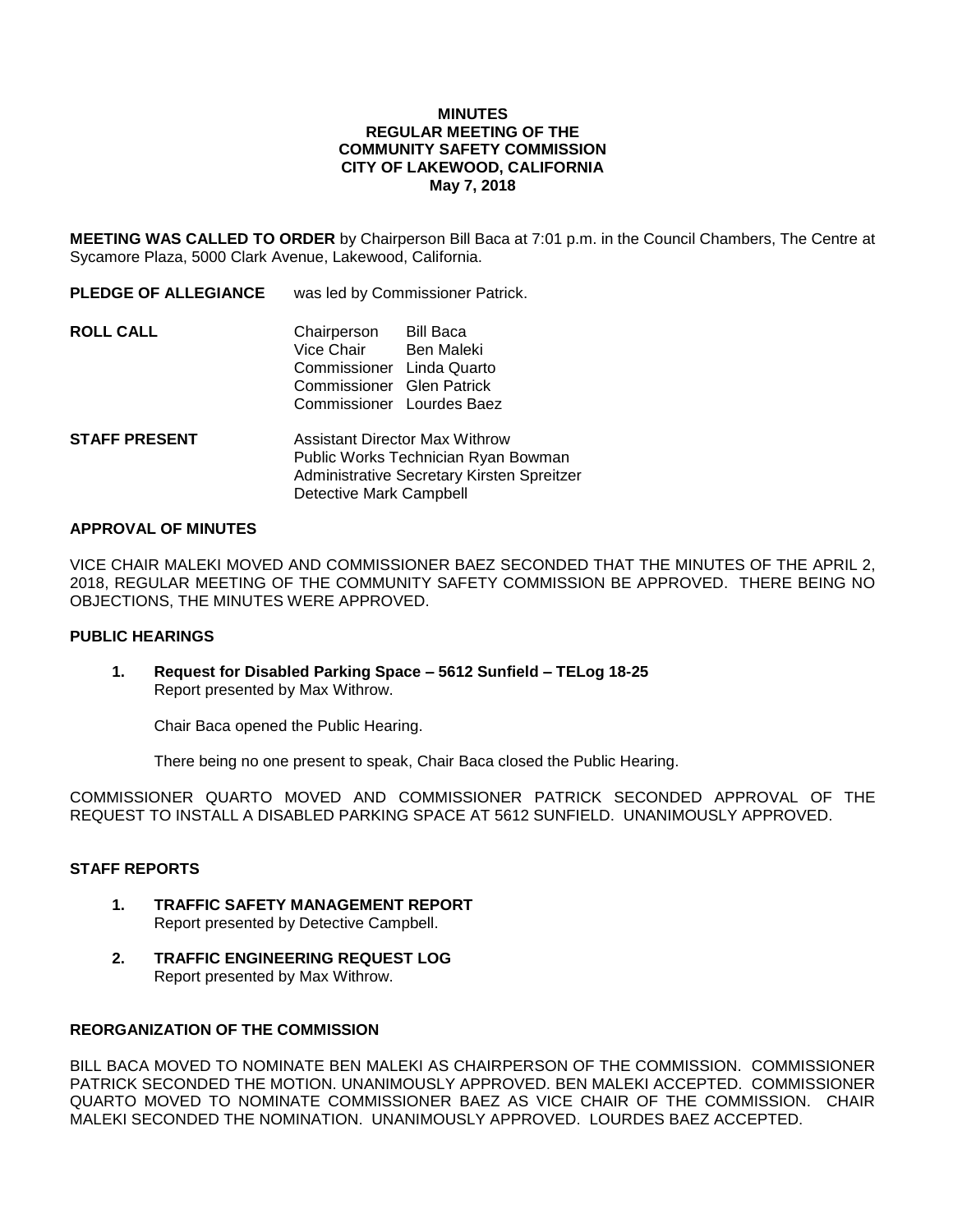#### **MINUTES REGULAR MEETING OF THE COMMUNITY SAFETY COMMISSION CITY OF LAKEWOOD, CALIFORNIA May 7, 2018**

**MEETING WAS CALLED TO ORDER** by Chairperson Bill Baca at 7:01 p.m. in the Council Chambers, The Centre at Sycamore Plaza, 5000 Clark Avenue, Lakewood, California.

**PLEDGE OF ALLEGIANCE** was led by Commissioner Patrick.

| <b>ROLL CALL</b> | Chairperson<br>Vice Chair<br>Commissioner Linda Quarto<br>Commissioner Glen Patrick<br>Commissioner Lourdes Baez | Bill Baca<br>Ben Maleki |
|------------------|------------------------------------------------------------------------------------------------------------------|-------------------------|
|                  |                                                                                                                  |                         |

**STAFF PRESENT** Assistant Director Max Withrow Public Works Technician Ryan Bowman Administrative Secretary Kirsten Spreitzer Detective Mark Campbell

#### **APPROVAL OF MINUTES**

VICE CHAIR MALEKI MOVED AND COMMISSIONER BAEZ SECONDED THAT THE MINUTES OF THE APRIL 2, 2018, REGULAR MEETING OF THE COMMUNITY SAFETY COMMISSION BE APPROVED. THERE BEING NO OBJECTIONS, THE MINUTES WERE APPROVED.

### **PUBLIC HEARINGS**

**1. Request for Disabled Parking Space – 5612 Sunfield – TELog 18-25** Report presented by Max Withrow.

Chair Baca opened the Public Hearing.

There being no one present to speak, Chair Baca closed the Public Hearing.

COMMISSIONER QUARTO MOVED AND COMMISSIONER PATRICK SECONDED APPROVAL OF THE REQUEST TO INSTALL A DISABLED PARKING SPACE AT 5612 SUNFIELD. UNANIMOUSLY APPROVED.

#### **STAFF REPORTS**

- **1. TRAFFIC SAFETY MANAGEMENT REPORT** Report presented by Detective Campbell.
- **2. TRAFFIC ENGINEERING REQUEST LOG** Report presented by Max Withrow.

## **REORGANIZATION OF THE COMMISSION**

BILL BACA MOVED TO NOMINATE BEN MALEKI AS CHAIRPERSON OF THE COMMISSION. COMMISSIONER PATRICK SECONDED THE MOTION. UNANIMOUSLY APPROVED. BEN MALEKI ACCEPTED. COMMISSIONER QUARTO MOVED TO NOMINATE COMMISSIONER BAEZ AS VICE CHAIR OF THE COMMISSION. CHAIR MALEKI SECONDED THE NOMINATION. UNANIMOUSLY APPROVED. LOURDES BAEZ ACCEPTED.